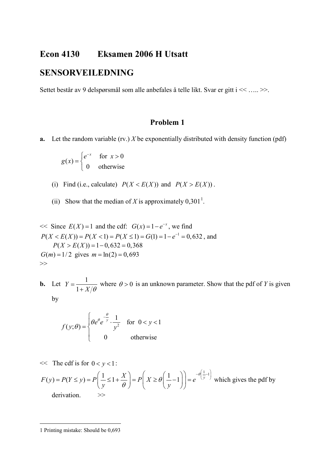## **Econ 4130 Eksamen 2006 H Utsatt**

## **SENSORVEILEDNING**

Settet består av 9 delspørsmål som alle anbefales å telle likt. Svar er gitt i << ….. >>.

## **Problem 1**

**a.** Let the random variable (rv.) *X* be exponentially distributed with density function (pdf)

$$
g(x) = \begin{cases} e^{-x} & \text{for } x > 0\\ 0 & \text{otherwise} \end{cases}
$$

- (i) Find (i.e., calculate)  $P(X \le E(X))$  and  $P(X > E(X))$ .
- (ii) Show that the median of *X* is approximately  $0,301^1$  $0,301^1$  $0,301^1$ .

 $<<$  Since  $E(X) = 1$  and the cdf:  $G(x) = 1 - e^{-x}$ , we find  $P(X < E(X)) = P(X < 1) = P(X \le 1) = G(1) = 1 - e^{-1} = 0,632$ , and  $P(X > E(X)) = 1 - 0,632 = 0,368$  $G(m) = 1/2$  gives  $m = \ln(2) = 0,693$ >>

**b.** Let  $Y = \frac{1}{1+1}$ 1  $Y = \frac{1}{1 + X/\theta}$  where  $\theta > 0$  is an unknown parameter. Show that the pdf of *Y* is given by

$$
f(y; \theta) = \begin{cases} \theta e^{\theta} e^{-\frac{\theta}{y}} \cdot \frac{1}{y^2} & \text{for } 0 < y < 1 \\ 0 & \text{otherwise} \end{cases}
$$

 $<<$  The cdf is for  $0 < y < 1$ :

$$
F(y) = P(Y \le y) = P\left(\frac{1}{y} \le 1 + \frac{X}{\theta}\right) = P\left(X \ge \theta\left(\frac{1}{y} - 1\right)\right) = e^{-\theta\left(\frac{1}{y} - 1\right)}
$$
 which gives the pdf by derivation.

<span id="page-0-0"></span>1 Printing mistake: Should be 0,693

 $\overline{a}$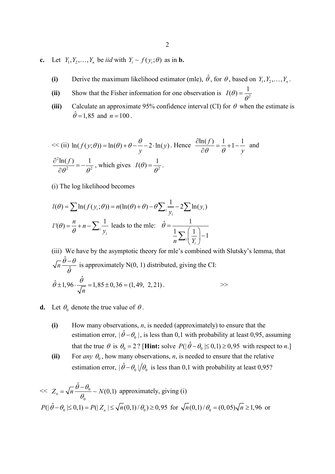- **c.** Let  $Y_1, Y_2, \ldots, Y_n$  be *iid* with  $Y_i \sim f(y_i; \theta)$  as in **b.** 
	- **(i)** Derive the maximum likelihood estimator (mle),  $\hat{\theta}$ , for  $\theta$ , based on  $Y_1, Y_2, \ldots, Y_n$ .
	- (ii) Show that the Fisher information for one observation is  $I(\theta) = \frac{1}{\theta^2}$
	- **(iii)** Calculate an approximate 95% confidence interval (CI) for  $\theta$  when the estimate is  $\hat{\theta} = 1,85$  and  $n = 100$ .

<< (ii) 
$$
\ln(f(y; \theta)) = \ln(\theta) + \theta - \frac{\theta}{y} - 2 \cdot \ln(y)
$$
. Hence  $\frac{\partial \ln(f)}{\partial \theta} = \frac{1}{\theta} + 1 - \frac{1}{y}$  and  $\frac{\partial^2 \ln(f)}{\partial \theta^2} = -\frac{1}{\theta^2}$ , which gives  $I(\theta) = \frac{1}{\theta^2}$ .

(i) The log likelihood becomes

$$
l(\theta) = \sum \ln(f(y_i; \theta)) = n(\ln(\theta) + \theta) - \theta \sum_{i} \frac{1}{y_i} - 2\sum \ln(y_i)
$$
  

$$
l'(\theta) = \frac{n}{\theta} + n - \sum_{i} \frac{1}{y_i} \text{ leads to the mle: } \hat{\theta} = \frac{1}{\frac{1}{n} \sum_{i} \left(\frac{1}{Y_i}\right) - 1}
$$

(iii) We have by the asymptotic theory for mle's combined with Slutsky's lemma, that ˆ  $\frac{\theta-\theta}{\hat{\theta}}$  $\frac{-\theta}{\hat{\theta}}$  is approximately N(0, 1) distributed, giving the CI:  $\hat{\theta}$  ± 1,96  $\cdot \frac{\hat{\theta}}{\sqrt{\pi}}$  = 1,85 ± 0,36 = (1,49, 2,21) *n*  $\hat{\theta} \pm 1,96 \cdot \frac{\theta}{\sqrt{n}} = 1,85 \pm 0,36 = (1,49, 2,21).$ 

- **d.** Let  $\theta_0$  denote the true value of  $\theta$ .
	- **(i)** How many observations, *n*, is needed (approximately) to ensure that the estimation error,  $|\hat{\theta} - \theta_0|$ , is less than 0,1 with probability at least 0,95, assuming that the true  $\theta$  is  $\theta_0 = 2$ ? [**Hint:** solve  $P(|\hat{\theta} - \theta_0| \le 0, 1) \ge 0, 95$  with respect to *n*.]
	- **(ii)** For *any*  $\theta_0$ , how many observations, *n*, is needed to ensure that the relative estimation error,  $|\hat{\theta} - \theta_0|/\theta_0$  is less than 0,1 with probability at least 0,95?

$$
\ll Z_n = \sqrt{n} \frac{\hat{\theta} - \theta_0}{\theta_0} \sim N(0, 1) \text{ approximately, giving (i)}
$$
  
 
$$
P(|\hat{\theta} - \theta_0| \le 0, 1) = P(|Z_n| \le \sqrt{n}(0, 1)/\theta_0) \ge 0,95 \text{ for } \sqrt{n}(0, 1)/\theta_0 = (0, 05)\sqrt{n} \ge 1,96 \text{ or }
$$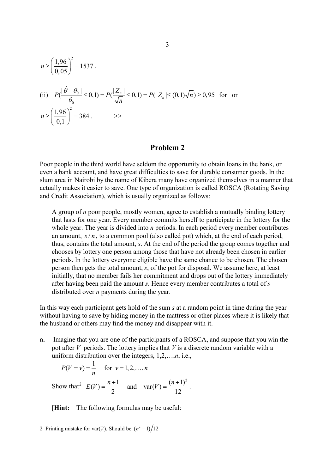$$
n \ge \left(\frac{1,96}{0,05}\right)^2 = 1537.
$$
  
(ii)  $P\left(\frac{|\hat{\theta} - \theta_0|}{\theta_0} \le 0, 1\right) = P\left(\frac{|Z_n|}{\sqrt{n}} \le 0, 1\right) = P(|Z_n| \le (0,1)\sqrt{n}) \ge 0.95$  for or  $n \ge \left(\frac{1,96}{0,1}\right)^2 = 384.$ 

## **Problem 2**

Poor people in the third world have seldom the opportunity to obtain loans in the bank, or even a bank account, and have great difficulties to save for durable consumer goods. In the slum area in Nairobi by the name of Kibera many have organized themselves in a manner that actually makes it easier to save. One type of organization is called ROSCA (Rotating Saving and Credit Association), which is usually organized as follows:

A group of *n* poor people, mostly women, agree to establish a mutually binding lottery that lasts for one year. Every member commits herself to participate in the lottery for the whole year. The year is divided into *n* periods. In each period every member contributes an amount,  $s/n$ , to a common pool (also called pot) which, at the end of each period, thus, contains the total amount, *s*. At the end of the period the group comes together and chooses by lottery one person among those that have not already been chosen in earlier periods. In the lottery everyone eligible have the same chance to be chosen. The chosen person then gets the total amount, *s*, of the pot for disposal. We assume here, at least initially, that no member fails her commitment and drops out of the lottery immediately after having been paid the amount *s*. Hence every member contributes a total of *s* distributed over *n* payments during the year.

In this way each participant gets hold of the sum *s* at a random point in time during the year without having to save by hiding money in the mattress or other places where it is likely that the husband or others may find the money and disappear with it.

**a.** Imagine that you are one of the participants of a ROSCA, and suppose that you win the pot after *V* periods. The lottery implies that *V* is a discrete random variable with a uniform distribution over the integers, 1,2,…,*n*, i.e.,

$$
P(V = v) = \frac{1}{n}
$$
 for  $v = 1, 2, ..., n$ 

Show that<sup>[2](#page-2-0)</sup>  $E(V) = \frac{n+1}{2}$  and  $var(V) = \frac{(n+1)^2}{12}$ .

[**Hint:** The following formulas may be useful:

 $\overline{a}$ 

<span id="page-2-0"></span><sup>2</sup> Printing mistake for var(*V*). Should be  $(n^2 - 1)/12$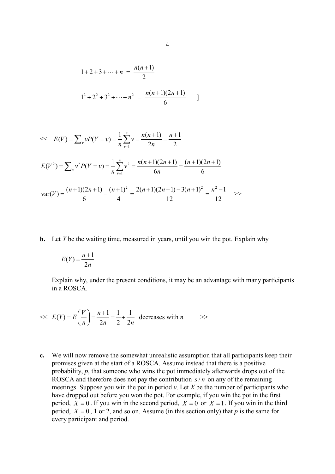$$
1+2+3+\cdots+n = \frac{n(n+1)}{2}
$$
  

$$
1^{2}+2^{2}+3^{2}+\cdots+n^{2} = \frac{n(n+1)(2n+1)}{6}
$$

<< 
$$
E(V) = \sum_{v} vP(V = v) = \frac{1}{n} \sum_{v=1}^{n} v = \frac{n(n+1)}{2n} = \frac{n+1}{2}
$$
  
\n $E(V^{2}) = \sum_{v} v^{2} P(V = v) = \frac{1}{n} \sum_{v=1}^{n} v^{2} = \frac{n(n+1)(2n+1)}{6n} = \frac{(n+1)(2n+1)}{6}$   
\n $var(V) = \frac{(n+1)(2n+1)}{6} - \frac{(n+1)^{2}}{4} = \frac{2(n+1)(2n+1) - 3(n+1)^{2}}{12} = \frac{n^{2} - 1}{12}$ 

**b.** Let *Y* be the waiting time, measured in years, until you win the pot. Explain why

$$
E(Y) = \frac{n+1}{2n}
$$

Explain why, under the present conditions, it may be an advantage with many participants in a ROSCA.

$$
\ll E(Y) = E\left(\frac{V}{n}\right) = \frac{n+1}{2n} = \frac{1}{2} + \frac{1}{2n} \text{ decreases with } n \quad \gg
$$

**c.** We will now remove the somewhat unrealistic assumption that all participants keep their promises given at the start of a ROSCA. Assume instead that there is a positive probability, *p*, that someone who wins the pot immediately afterwards drops out of the ROSCA and therefore does not pay the contribution  $s/n$  on any of the remaining meetings. Suppose you win the pot in period  $v$ . Let  $X$  be the number of participants who have dropped out before you won the pot. For example, if you win the pot in the first period,  $X = 0$ . If you win in the second period,  $X = 0$  or  $X = 1$ . If you win in the third period,  $X = 0$ , 1 or 2, and so on. Assume (in this section only) that *p* is the same for every participant and period.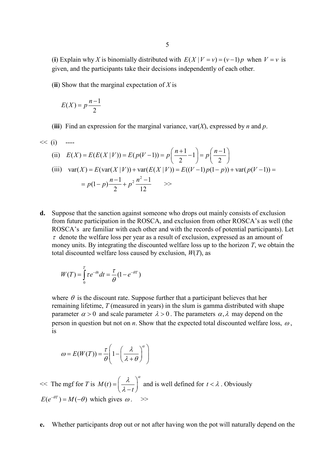(**i**) Explain why *X* is binomially distributed with  $E(X | V = v) = (v-1)p$  when  $V = v$  is given, and the participants take their decisions independently of each other.

(**ii**) Show that the marginal expectation of *X* is

$$
E(X) = p \frac{n-1}{2}
$$

(**iii**) Find an expression for the marginal variance, var( $X$ ), expressed by *n* and *p*.

$$
\begin{aligned}\n&< (i) \quad \text{---} \\
\text{(ii)} \quad E(X) = E(E(X | V)) = E(p(V - 1)) = p\left(\frac{n+1}{2} - 1\right) = p\left(\frac{n-1}{2}\right) \\
\text{(iii)} \quad \text{var}(X) = E(\text{var}(X | V)) + \text{var}(E(X | V)) = E((V - 1)p(1 - p)) + \text{var}(p(V - 1)) = \\
&= p(1 - p)\frac{n-1}{2} + p^2 \frac{n^2 - 1}{12} \quad \text{---}\n\end{aligned}
$$

**d.** Suppose that the sanction against someone who drops out mainly consists of exclusion from future participation in the ROSCA, and exclusion from other ROSCA's as well (the ROSCA's are familiar with each other and with the records of potential participants). Let  $\tau$  denote the welfare loss per year as a result of exclusion, expressed as an amount of money units. By integrating the discounted welfare loss up to the horizon *T*, we obtain the total discounted welfare loss caused by exclusion, *W*(*T*), as

$$
W(T) = \int_{0}^{T} \tau e^{-\theta t} dt = \frac{\tau}{\theta} (1 - e^{-\theta T})
$$

where  $\theta$  is the discount rate. Suppose further that a participant believes that her remaining lifetime, *T* (measured in years) in the slum is gamma distributed with shape parameter  $\alpha > 0$  and scale parameter  $\lambda > 0$ . The parameters  $\alpha, \lambda$  may depend on the person in question but not on *n*. Show that the expected total discounted welfare loss,  $\omega$ , is

$$
\omega = E(W(T)) = \frac{\tau}{\theta} \left( 1 - \left( \frac{\lambda}{\lambda + \theta} \right)^{\alpha} \right)
$$

 $<<$  The mgf for *T* is  $M(t)$ *t*  $λ$   $\lambda^{\alpha}$  $=\left(\frac{\lambda}{\lambda-t}\right)^{\alpha}$  and is well defined for  $t < \lambda$ . Obviously  $E(e^{-\theta T}) = M(-\theta)$  which gives  $\omega$ . >>

**e.** Whether participants drop out or not after having won the pot will naturally depend on the